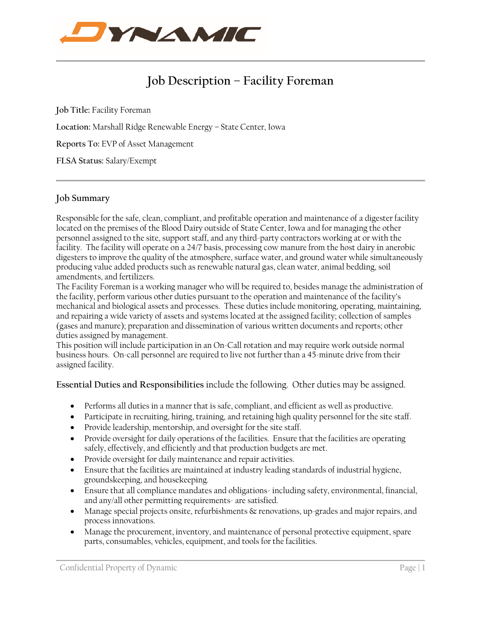

# **Job Description – Facility Foreman**

**Job Title:** Facility Foreman **Location:** Marshall Ridge Renewable Energy – State Center, Iowa **Reports To:** EVP of Asset Management **FLSA Status:** Salary/Exempt

### **Job Summary**

Responsible for the safe, clean, compliant, and profitable operation and maintenance of a digester facility located on the premises of the Blood Dairy outside of State Center, Iowa and for managing the other personnel assigned to the site, support staff, and any third-party contractors working at or with the facility. The facility will operate on a 24/7 basis, processing cow manure from the host dairy in anerobic digesters to improve the quality of the atmosphere, surface water, and ground water while simultaneously producing value added products such as renewable natural gas, clean water, animal bedding, soil amendments, and fertilizers.

The Facility Foreman is a working manager who will be required to, besides manage the administration of the facility, perform various other duties pursuant to the operation and maintenance of the facility's mechanical and biological assets and processes. These duties include monitoring, operating, maintaining, and repairing a wide variety of assets and systems located at the assigned facility; collection of samples (gases and manure); preparation and dissemination of various written documents and reports; other duties assigned by management.

This position will include participation in an On-Call rotation and may require work outside normal business hours. On-call personnel are required to live not further than a 45-minute drive from their assigned facility.

**Essential Duties and Responsibilities** include the following. Other duties may be assigned.

- Performs all duties in a manner that is safe, compliant, and efficient as well as productive.
- Participate in recruiting, hiring, training, and retaining high quality personnel for the site staff.
- Provide leadership, mentorship, and oversight for the site staff.
- Provide oversight for daily operations of the facilities. Ensure that the facilities are operating safely, effectively, and efficiently and that production budgets are met.
- Provide oversight for daily maintenance and repair activities.
- Ensure that the facilities are maintained at industry leading standards of industrial hygiene, groundskeeping, and housekeeping.
- Ensure that all compliance mandates and obligations-including safety, environmental, financial, and any/all other permitting requirements- are satisfied.
- Manage special projects onsite, refurbishments & renovations, up-grades and major repairs, and process innovations.
- Manage the procurement, inventory, and maintenance of personal protective equipment, spare parts, consumables, vehicles, equipment, and tools for the facilities.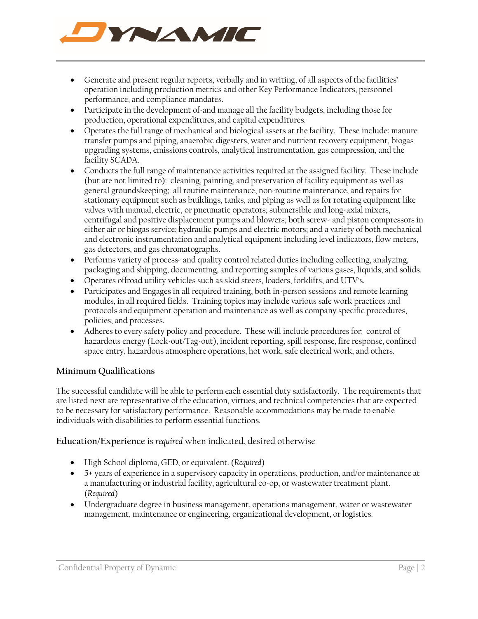

- Generate and present regular reports, verbally and in writing, of all aspects of the facilities' operation including production metrics and other Key Performance Indicators, personnel performance, and compliance mandates.
- Participate in the development of-and manage all the facility budgets, including those for production, operational expenditures, and capital expenditures.
- Operates the full range of mechanical and biological assets at the facility. These include: manure transfer pumps and piping, anaerobic digesters, water and nutrient recovery equipment, biogas upgrading systems, emissions controls, analytical instrumentation, gas compression, and the facility SCADA.
- Conducts the full range of maintenance activities required at the assigned facility. These include (but are not limited to): cleaning, painting, and preservation of facility equipment as well as general groundskeeping; all routine maintenance, non-routine maintenance, and repairs for stationary equipment such as buildings, tanks, and piping as well as for rotating equipment like valves with manual, electric, or pneumatic operators; submersible and long-axial mixers, centrifugal and positive displacement pumps and blowers; both screw- and piston compressors in either air or biogas service; hydraulic pumps and electric motors; and a variety of both mechanical and electronic instrumentation and analytical equipment including level indicators, flow meters, gas detectors, and gas chromatographs.
- Performs variety of process- and quality control related duties including collecting, analyzing, packaging and shipping, documenting, and reporting samples of various gases, liquids, and solids.
- Operates offroad utility vehicles such as skid steers, loaders, forklifts, and UTV's.
- Participates and Engages in all required training, both in-person sessions and remote learning modules, in all required fields. Training topics may include various safe work practices and protocols and equipment operation and maintenance as well as company specific procedures, policies, and processes.
- Adheres to every safety policy and procedure. These will include procedures for: control of hazardous energy (Lock-out/Tag-out), incident reporting, spill response, fire response, confined space entry, hazardous atmosphere operations, hot work, safe electrical work, and others.

## **Minimum Qualifications**

The successful candidate will be able to perform each essential duty satisfactorily. The requirements that are listed next are representative of the education, virtues, and technical competencies that are expected to be necessary for satisfactory performance. Reasonable accommodations may be made to enable individuals with disabilities to perform essential functions.

**Education/Experience** is *required* when indicated, desired otherwise

- High School diploma, GED, or equivalent. (*Required*)
- 5+ years of experience in a supervisory capacity in operations, production, and/or maintenance at a manufacturing or industrial facility, agricultural co-op, or wastewater treatment plant. (*Required*)
- Undergraduate degree in business management, operations management, water or wastewater management, maintenance or engineering, organizational development, or logistics.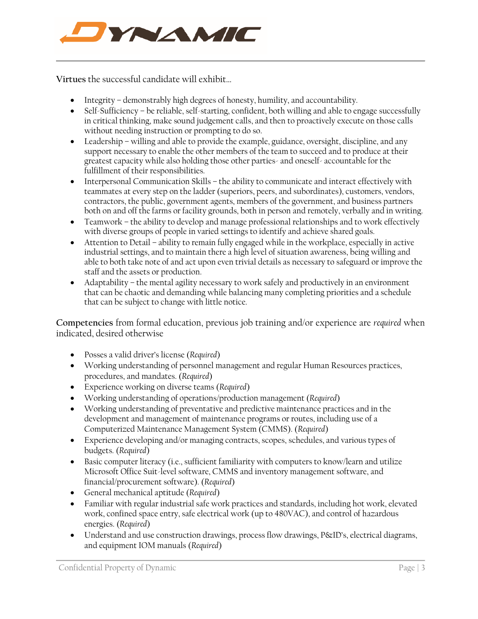

**Virtues** the successful candidate will exhibit…

- Integrity demonstrably high degrees of honesty, humility, and accountability.
- Self-Sufficiency be reliable, self-starting, confident, both willing and able to engage successfully in critical thinking, make sound judgement calls, and then to proactively execute on those calls without needing instruction or prompting to do so.
- Leadership willing and able to provide the example, guidance, oversight, discipline, and any support necessary to enable the other members of the team to succeed and to produce at their greatest capacity while also holding those other parties- and oneself- accountable for the fulfillment of their responsibilities.
- Interpersonal Communication Skills the ability to communicate and interact effectively with teammates at every step on the ladder (superiors, peers, and subordinates), customers, vendors, contractors, the public, government agents, members of the government, and business partners both on and off the farms or facility grounds, both in person and remotely, verbally and in writing.
- Teamwork the ability to develop and manage professional relationships and to work effectively with diverse groups of people in varied settings to identify and achieve shared goals.
- Attention to Detail ability to remain fully engaged while in the workplace, especially in active industrial settings, and to maintain there a high level of situation awareness, being willing and able to both take note of and act upon even trivial details as necessary to safeguard or improve the staff and the assets or production.
- Adaptability the mental agility necessary to work safely and productively in an environment that can be chaotic and demanding while balancing many completing priorities and a schedule that can be subject to change with little notice.

**Competencies** from formal education, previous job training and/or experience are *required* when indicated, desired otherwise

- Posses a valid driver's license (*Required*)
- Working understanding of personnel management and regular Human Resources practices, procedures, and mandates. (*Required*)
- Experience working on diverse teams (*Required*)
- Working understanding of operations/production management (*Required*)
- Working understanding of preventative and predictive maintenance practices and in the development and management of maintenance programs or routes, including use of a Computerized Maintenance Management System (CMMS). (*Required*)
- Experience developing and/or managing contracts, scopes, schedules, and various types of budgets. (*Required*)
- Basic computer literacy (i.e., sufficient familiarity with computers to know/learn and utilize Microsoft Office Suit-level software, CMMS and inventory management software, and financial/procurement software). (*Required*)
- General mechanical aptitude (*Required*)
- Familiar with regular industrial safe work practices and standards, including hot work, elevated work, confined space entry, safe electrical work (up to 480VAC), and control of hazardous energies. (*Required*)
- Understand and use construction drawings, process flow drawings, P&ID's, electrical diagrams, and equipment IOM manuals (*Required*)